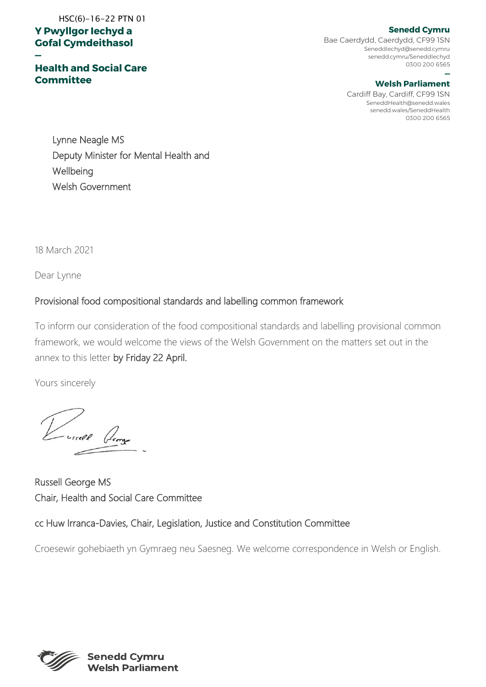### **Y Pwyllgor Iechyd a Gofal Cymdeithasol**  HSC(6)-16-22 PTN 01

**—**

### **Health and Social Care Committee**

# **Senedd Cymru**

Bae Caerdydd, Caerdydd, CF99 1SN SeneddIechyd@senedd.cymru senedd.cymru/SeneddIechyd 0300 200 6565

#### **— Welsh Parliament**

Cardiff Bay, Cardiff, CF99 1SN SeneddHealth@senedd.wales senedd.wales/SeneddHealth 0300 200 6565

Lynne Neagle MS Deputy Minister for Mental Health and **Wellbeing** Welsh Government

18 March 2021

Dear Lynne

# Provisional food compositional standards and labelling common framework

To inform our consideration of the food compositional standards and labelling provisional common framework, we would welcome the views of the Welsh Government on the matters set out in the annex to this letter by Friday 22 April.

Yours sincerely

Russell George MS Chair, Health and Social Care Committee

### cc Huw Irranca-Davies, Chair, Legislation, Justice and Constitution Committee

Croesewir gohebiaeth yn Gymraeg neu Saesneg. We welcome correspondence in Welsh or English.

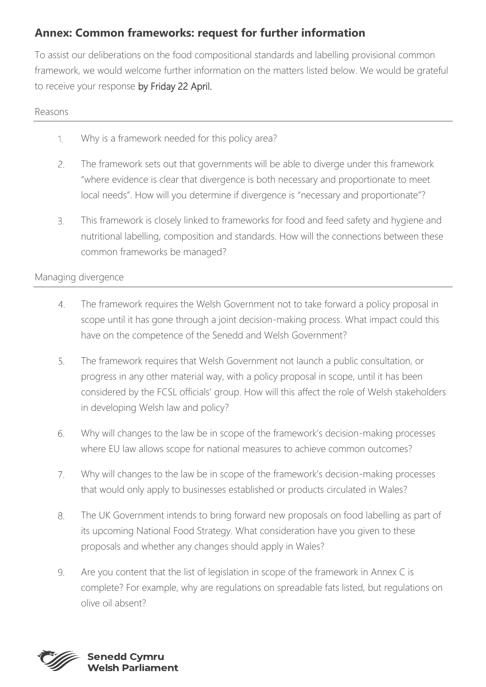# **Annex: Common frameworks: request for further information**

To assist our deliberations on the food compositional standards and labelling provisional common framework, we would welcome further information on the matters listed below. We would be grateful to receive your response by Friday 22 April.

#### Reasons

- Why is a framework needed for this policy area?  $\mathcal{L}$
- The framework sets out that governments will be able to diverge under this framework  $2.$ "where evidence is clear that divergence is both necessary and proportionate to meet local needs". How will you determine if divergence is "necessary and proportionate"?
- This framework is closely linked to frameworks for food and feed safety and hygiene and 3. nutritional labelling, composition and standards. How will the connections between these common frameworks be managed?

# Managing divergence

- The framework requires the Welsh Government not to take forward a policy proposal in  $4.$ scope until it has gone through a joint decision-making process. What impact could this have on the competence of the Senedd and Welsh Government?
- 5. The framework requires that Welsh Government not launch a public consultation, or progress in any other material way, with a policy proposal in scope, until it has been considered by the FCSL officials' group. How will this affect the role of Welsh stakeholders in developing Welsh law and policy?
- Why will changes to the law be in scope of the framework's decision-making processes 6. where EU law allows scope for national measures to achieve common outcomes?
- Why will changes to the law be in scope of the framework's decision-making processes  $7.$ that would only apply to businesses established or products circulated in Wales?
- The UK Government intends to bring forward new proposals on food labelling as part of 8. its upcoming National Food Strategy. What consideration have you given to these proposals and whether any changes should apply in Wales?
- 9. Are you content that the list of legislation in scope of the framework in Annex C is complete? For example, why are regulations on spreadable fats listed, but regulations on olive oil absent?

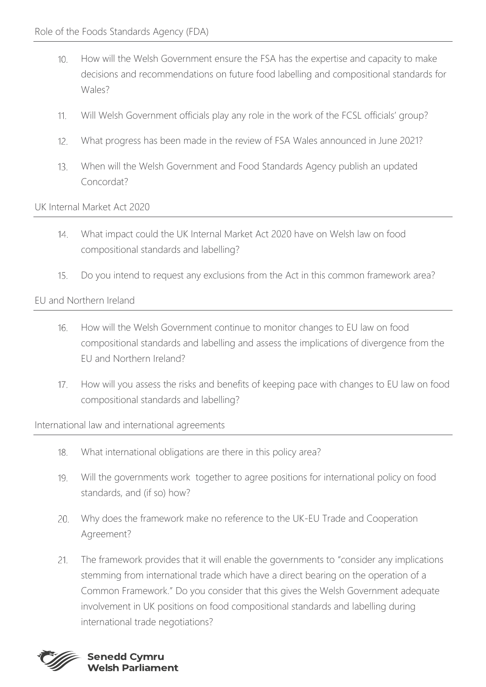- How will the Welsh Government ensure the FSA has the expertise and capacity to make  $10.$ decisions and recommendations on future food labelling and compositional standards for Wales?
- Will Welsh Government officials play any role in the work of the FCSL officials' group?  $11.$
- $12.$ What progress has been made in the review of FSA Wales announced in June 2021?
- $13<sup>13</sup>$ When will the Welsh Government and Food Standards Agency publish an updated Concordat?

### UK Internal Market Act 2020

- What impact could the UK Internal Market Act 2020 have on Welsh law on food  $14.$ compositional standards and labelling?
- $15.$ Do you intend to request any exclusions from the Act in this common framework area?

# EU and Northern Ireland

- How will the Welsh Government continue to monitor changes to EU law on food  $16.$ compositional standards and labelling and assess the implications of divergence from the EU and Northern Ireland?
- How will you assess the risks and benefits of keeping pace with changes to EU law on food  $17.$ compositional standards and labelling?

#### International law and international agreements

- 18. What international obligations are there in this policy area?
- Will the governments work together to agree positions for international policy on food 19. standards, and (if so) how?
- Why does the framework make no reference to the UK-EU Trade and Cooperation 20. Agreement?
- The framework provides that it will enable the governments to "consider any implications  $21.$ stemming from international trade which have a direct bearing on the operation of a Common Framework." Do you consider that this gives the Welsh Government adequate involvement in UK positions on food compositional standards and labelling during international trade negotiations?